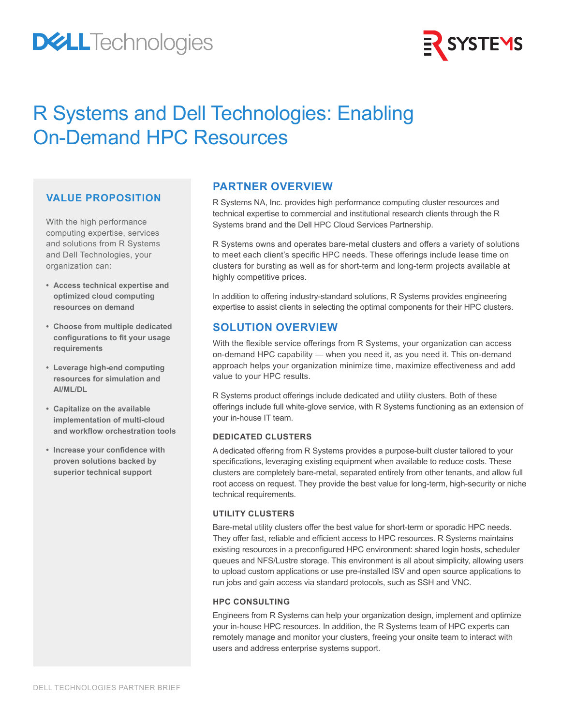# **DELL**Technologies



## R Systems and Dell Technologies: Enabling On-Demand HPC Resources

### **VALUE PROPOSITION**

With the high performance computing expertise, services and solutions from R Systems and Dell Technologies, your organization can:

- **• Access technical expertise and optimized cloud computing resources on demand**
- **• Choose from multiple dedicated configurations to fit your usage requirements**
- **• Leverage high-end computing resources for simulation and AI/ML/DL**
- **• Capitalize on the available implementation of multi-cloud and workflow orchestration tools**
- **• Increase your confidence with proven solutions backed by superior technical support**

## **PARTNER OVERVIEW**

R Systems NA, Inc. provides high performance computing cluster resources and technical expertise to commercial and institutional research clients through the R Systems brand and the Dell HPC Cloud Services Partnership.

R Systems owns and operates bare-metal clusters and offers a variety of solutions to meet each client's specific HPC needs. These offerings include lease time on clusters for bursting as well as for short-term and long-term projects available at highly competitive prices.

In addition to offering industry-standard solutions, R Systems provides engineering expertise to assist clients in selecting the optimal components for their HPC clusters.

## **SOLUTION OVERVIEW**

With the flexible service offerings from R Systems, your organization can access on-demand HPC capability — when you need it, as you need it. This on-demand approach helps your organization minimize time, maximize effectiveness and add value to your HPC results.

R Systems product offerings include dedicated and utility clusters. Both of these offerings include full white-glove service, with R Systems functioning as an extension of your in-house IT team.

#### **DEDICATED CLUSTERS**

A dedicated offering from R Systems provides a purpose-built cluster tailored to your specifications, leveraging existing equipment when available to reduce costs. These clusters are completely bare-metal, separated entirely from other tenants, and allow full root access on request. They provide the best value for long-term, high-security or niche technical requirements.

#### **UTILITY CLUSTERS**

Bare-metal utility clusters offer the best value for short-term or sporadic HPC needs. They offer fast, reliable and efficient access to HPC resources. R Systems maintains existing resources in a preconfigured HPC environment: shared login hosts, scheduler queues and NFS/Lustre storage. This environment is all about simplicity, allowing users to upload custom applications or use pre-installed ISV and open source applications to run jobs and gain access via standard protocols, such as SSH and VNC.

#### **HPC CONSULTING**

Engineers from R Systems can help your organization design, implement and optimize your in-house HPC resources. In addition, the R Systems team of HPC experts can remotely manage and monitor your clusters, freeing your onsite team to interact with users and address enterprise systems support.